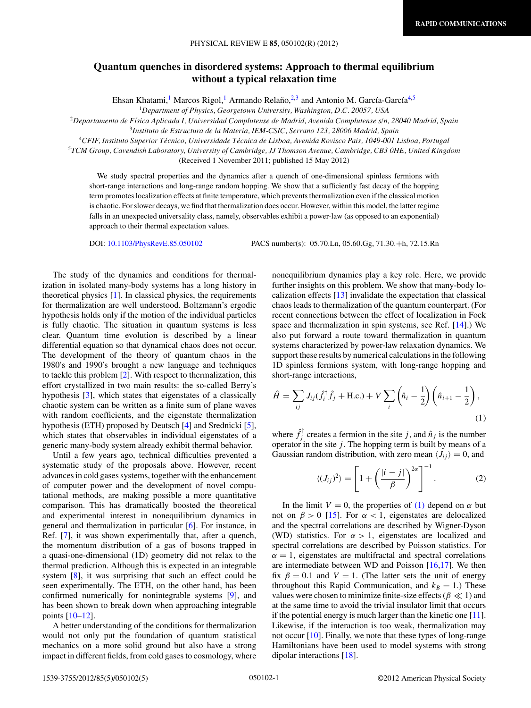## <span id="page-0-0"></span>**Quantum quenches in disordered systems: Approach to thermal equilibrium without a typical relaxation time**

Ehsan Khatami,<sup>1</sup> Marcos Rigol,<sup>1</sup> Armando Relaño, <sup>2,3</sup> and Antonio M. García-García<sup>4,5</sup>

<sup>1</sup>*Department of Physics, Georgetown University, Washington, D.C. 20057, USA*

<sup>2</sup>*Departamento de F´ısica Aplicada I, Universidad Complutense de Madrid, Avenida Complutense s/n, 28040 Madrid, Spain*

<sup>3</sup>*Instituto de Estructura de la Materia, IEM-CSIC, Serrano 123, 28006 Madrid, Spain*

<sup>4</sup>*CFIF, Instituto Superior Tecnico, Universidade T ´ ecnica de Lisboa, Avenida Rovisco Pais, 1049-001 Lisboa, Portugal ´*

<sup>5</sup>*TCM Group, Cavendish Laboratory, University of Cambridge, JJ Thomson Avenue, Cambridge, CB3 0HE, United Kingdom*

(Received 1 November 2011; published 15 May 2012)

We study spectral properties and the dynamics after a quench of one-dimensional spinless fermions with short-range interactions and long-range random hopping. We show that a sufficiently fast decay of the hopping term promotes localization effects at finite temperature, which prevents thermalization even if the classical motion is chaotic. For slower decays, we find that thermalization does occur. However, within this model, the latter regime falls in an unexpected universality class, namely, observables exhibit a power-law (as opposed to an exponential) approach to their thermal expectation values.

DOI: [10.1103/PhysRevE.85.050102](http://dx.doi.org/10.1103/PhysRevE.85.050102) PACS number(s): 05*.*70*.*Ln, 05*.*60*.*Gg, 71*.*30*.*+h, 72*.*15*.*Rn

The study of the dynamics and conditions for thermalization in isolated many-body systems has a long history in theoretical physics [\[1\]](#page-3-0). In classical physics, the requirements for thermalization are well understood. Boltzmann's ergodic hypothesis holds only if the motion of the individual particles is fully chaotic. The situation in quantum systems is less clear. Quantum time evolution is described by a linear differential equation so that dynamical chaos does not occur. The development of the theory of quantum chaos in the 1980's and 1990's brought a new language and techniques to tackle this problem [\[2\]](#page-3-0). With respect to thermalization, this effort crystallized in two main results: the so-called Berry's hypothesis [\[3\]](#page-3-0), which states that eigenstates of a classically chaotic system can be written as a finite sum of plane waves with random coefficients, and the eigenstate thermalization hypothesis (ETH) proposed by Deutsch [\[4\]](#page-3-0) and Srednicki [\[5\]](#page-3-0), which states that observables in individual eigenstates of a generic many-body system already exhibit thermal behavior.

Until a few years ago, technical difficulties prevented a systematic study of the proposals above. However, recent advances in cold gases systems, together with the enhancement of computer power and the development of novel computational methods, are making possible a more quantitative comparison. This has dramatically boosted the theoretical and experimental interest in nonequilibrium dynamics in general and thermalization in particular [\[6\]](#page-3-0). For instance, in Ref. [\[7\]](#page-3-0), it was shown experimentally that, after a quench, the momentum distribution of a gas of bosons trapped in a quasi-one-dimensional (1D) geometry did not relax to the thermal prediction. Although this is expected in an integrable system [\[8\]](#page-4-0), it was surprising that such an effect could be seen experimentally. The ETH, on the other hand, has been confirmed numerically for nonintegrable systems [\[9\]](#page-4-0), and has been shown to break down when approaching integrable points [\[10–12\]](#page-4-0).

A better understanding of the conditions for thermalization would not only put the foundation of quantum statistical mechanics on a more solid ground but also have a strong impact in different fields, from cold gases to cosmology, where

nonequilibrium dynamics play a key role. Here, we provide further insights on this problem. We show that many-body localization effects [\[13\]](#page-4-0) invalidate the expectation that classical chaos leads to thermalization of the quantum counterpart. (For recent connections between the effect of localization in Fock space and thermalization in spin systems, see Ref. [\[14\]](#page-4-0).) We also put forward a route toward thermalization in quantum systems characterized by power-law relaxation dynamics. We support these results by numerical calculations in the following 1D spinless fermions system, with long-range hopping and short-range interactions,

$$
\hat{H} = \sum_{ij} J_{ij}(\hat{f}_i^{\dagger} \hat{f}_j + \text{H.c.}) + V \sum_i \left(\hat{n}_i - \frac{1}{2}\right) \left(\hat{n}_{i+1} - \frac{1}{2}\right),\tag{1}
$$

where  $\hat{f}_j^{\dagger}$  creates a fermion in the site *j*, and  $\hat{n}_j$  is the number operator in the site *j*. The hopping term is built by means of a Gaussian random distribution, with zero mean  $\langle J_{ij} \rangle = 0$ , and

$$
\langle (J_{ij})^2 \rangle = \left[ 1 + \left( \frac{|i-j|}{\beta} \right)^{2\alpha} \right]^{-1}.
$$
 (2)

In the limit  $V = 0$ , the properties of (1) depend on  $\alpha$  but not on  $\beta > 0$  [\[15\]](#page-4-0). For  $\alpha < 1$ , eigenstates are delocalized and the spectral correlations are described by Wigner-Dyson (WD) statistics. For  $\alpha > 1$ , eigenstates are localized and spectral correlations are described by Poisson statistics. For  $\alpha = 1$ , eigenstates are multifractal and spectral correlations are intermediate between WD and Poisson  $[16,17]$ . We then fix  $\beta = 0.1$  and  $V = 1$ . (The latter sets the unit of energy throughout this Rapid Communication, and  $k_B = 1$ .) These values were chosen to minimize finite-size effects ( $\beta \ll 1$ ) and at the same time to avoid the trivial insulator limit that occurs if the potential energy is much larger than the kinetic one [\[11\]](#page-4-0). Likewise, if the interaction is too weak, thermalization may not occur [\[10\]](#page-4-0). Finally, we note that these types of long-range Hamiltonians have been used to model systems with strong dipolar interactions [\[18\]](#page-4-0).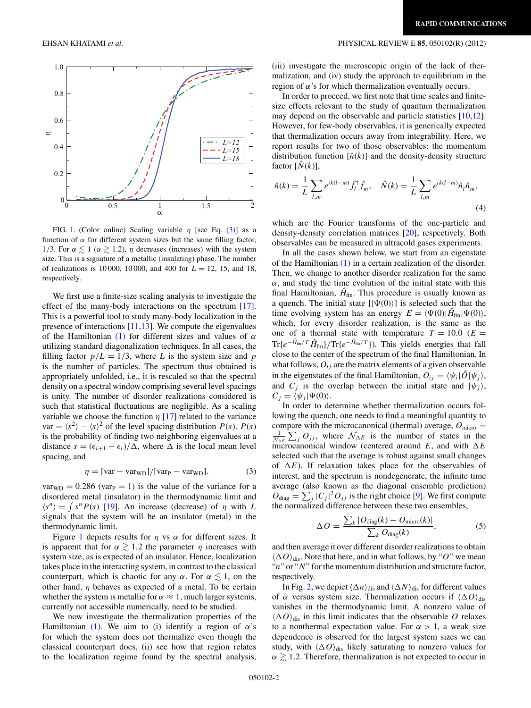

FIG. 1. (Color online) Scaling variable *η* [see Eq. (3)] as a function of  $\alpha$  for different system sizes but the same filling factor, 1/3. For  $\alpha \lesssim 1$  ( $\alpha \gtrsim 1.2$ ), *η* decreases (increases) with the system size. This is a signature of a metallic (insulating) phase. The number of realizations is 10 000, 10 000, and 400 for  $L = 12$ , 15, and 18, respectively.

We first use a finite-size scaling analysis to investigate the effect of the many-body interactions on the spectrum [\[17\]](#page-4-0). This is a powerful tool to study many-body localization in the presence of interactions [\[11,13\]](#page-4-0). We compute the eigenvalues of the Hamiltonian [\(1\)](#page-0-0) for different sizes and values of *α* utilizing standard diagonalization techniques. In all cases, the filling factor  $p/L = 1/3$ , where *L* is the system size and *p* is the number of particles. The spectrum thus obtained is appropriately unfolded, i.e., it is rescaled so that the spectral density on a spectral window comprising several level spacings is unity. The number of disorder realizations considered is such that statistical fluctuations are negligible. As a scaling variable we choose the function  $\eta$  [\[17\]](#page-4-0) related to the variance var =  $\langle s^2 \rangle - \langle s \rangle^2$  of the level spacing distribution *P*(*s*). *P*(*s*) is the probability of finding two neighboring eigenvalues at a distance  $s = (\epsilon_{i+1} - \epsilon_i)/\Delta$ , where  $\Delta$  is the local mean level spacing, and

$$
\eta = [var - var_{WD}]/[var_P - var_{WD}]. \tag{3}
$$

 $var_{WD} = 0.286$  (var<sub>P</sub> = 1) is the value of the variance for a disordered metal (insulator) in the thermodynamic limit and  $\langle s^n \rangle = \int s^n P(s)$  [\[19\]](#page-4-0). An increase (decrease) of *η* with *L* signals that the system will be an insulator (metal) in the thermodynamic limit.

Figure 1 depicts results for *η* vs *α* for different sizes. It is apparent that for  $\alpha \gtrsim 1.2$  the parameter  $\eta$  increases with system size, as is expected of an insulator. Hence, localization takes place in the interacting system, in contrast to the classical counterpart, which is chaotic for any  $\alpha$ . For  $\alpha \lesssim 1$ , on the other hand, *η* behaves as expected of a metal. To be certain whether the system is metallic for  $\alpha \approx 1$ , much larger systems, currently not accessible numerically, need to be studied.

We now investigate the thermalization properties of the Hamiltonian [\(1\).](#page-0-0) We aim to (i) identify a region of *α*'s for which the system does not thermalize even though the classical counterpart does, (ii) see how that region relates to the localization regime found by the spectral analysis,

## <span id="page-1-0"></span>EHSAN KHATAMI *et al.* PHYSICAL REVIEW E **85**, 050102(R) (2012)

(iii) investigate the microscopic origin of the lack of thermalization, and (iv) study the approach to equilibrium in the region of *α*'s for which thermalization eventually occurs.

In order to proceed, we first note that time scales and finitesize effects relevant to the study of quantum thermalization may depend on the observable and particle statistics [\[10,12\]](#page-4-0). However, for few-body observables, it is generically expected that thermalization occurs away from integrability. Here, we report results for two of those observables: the momentum distribution function  $[\hat{n}(k)]$  and the density-density structure factor  $[\hat{N}(k)],$ 

$$
\hat{n}(k) = \frac{1}{L} \sum_{l,m} e^{ik(l-m)} \hat{f}_l^{\dagger} \hat{f}_m, \quad \hat{N}(k) = \frac{1}{L} \sum_{l,m} e^{ik(l-m)} \hat{n}_l \hat{n}_m,
$$
\n(4)

which are the Fourier transforms of the one-particle and density-density correlation matrices [\[20\]](#page-4-0), respectively. Both observables can be measured in ultracold gases experiments.

In all the cases shown below, we start from an eigenstate of the Hamiltonian [\(1\)](#page-0-0) in a certain realization of the disorder. Then, we change to another disorder realization for the same  $\alpha$ , and study the time evolution of the initial state with this final Hamiltonian,  $\hat{H}_{fin}$ . This procedure is usually known as a quench. The initial state  $[|\Psi(0)\rangle]$  is selected such that the time evolving system has an energy  $E = \langle \Psi(0) | \hat{H}_{fin} | \Psi(0) \rangle$ , which, for every disorder realization, is the same as the one of a thermal state with temperature  $T = 10.0$  ( $E =$  $Tr{e^{-\hat{H}_{fin}/T}\hat{H}_{fin}}/Tr{e^{-\hat{H}_{fin}/T}}$ ). This yields energies that fall close to the center of the spectrum of the final Hamiltonian. In what follows,  $O_{ij}$  are the matrix elements of a given observable in the eigenstates of the final Hamiltonian,  $O_{ij} = \langle \psi_i | \hat{O} | \psi_j \rangle$ , and  $C_i$  is the overlap between the initial state and  $|\psi_i\rangle$ ,  $C_j = \langle \psi_j | \Psi(0) \rangle$ .

In order to determine whether thermalization occurs following the quench, one needs to find a meaningful quantity to compare with the microcanonical (thermal) average,  $O<sub>micro</sub>$  $\sum_{N \Delta E} \sum_{j=1}^{N}$   $\sum_{j=1}^{N}$  conterval around *E*, and with  $\Delta E$  $\sum_{j} O_{jj}$ , where  $\mathcal{N}_{\Delta E}$  is the number of states in the selected such that the average is robust against small changes of  $\Delta E$ ). If relaxation takes place for the observables of interest, and the spectrum is nondegenerate, the infinite time average (also known as the diagonal ensemble prediction)  $O_{\text{diag}} = \sum_j |C_j|^2 O_{jj}$  is the right choice [\[9\]](#page-4-0). We first compute the normalized difference between these two ensembles,

$$
\Delta O = \frac{\sum_{k} |O_{\text{diag}}(k) - O_{\text{micro}}(k)|}{\sum_{k} O_{\text{diag}}(k)},
$$
\n(5)

and then average it over different disorder realizations to obtain  $\langle \Delta O \rangle_{\text{dis}}$ . Note that here, and in what follows, by "O" we mean "*n*" or "*N*" for the momentum distribution and structure factor, respectively.

In Fig. [2,](#page-2-0) we depict  $\langle \Delta n \rangle_{\text{dis}}$  and  $\langle \Delta N \rangle_{\text{dis}}$  for different values of  $\alpha$  versus system size. Thermalization occurs if  $\langle \Delta O \rangle_{\text{dis}}$ vanishes in the thermodynamic limit. A nonzero value of  $\langle \Delta O \rangle_{\text{dis}}$  in this limit indicates that the observable *O* relaxes to a nonthermal expectation value. For  $\alpha > 1$ , a weak size dependence is observed for the largest system sizes we can study, with  $\langle \Delta O \rangle_{\text{dis}}$  likely saturating to nonzero values for  $\alpha \gtrsim 1.2$ . Therefore, thermalization is not expected to occur in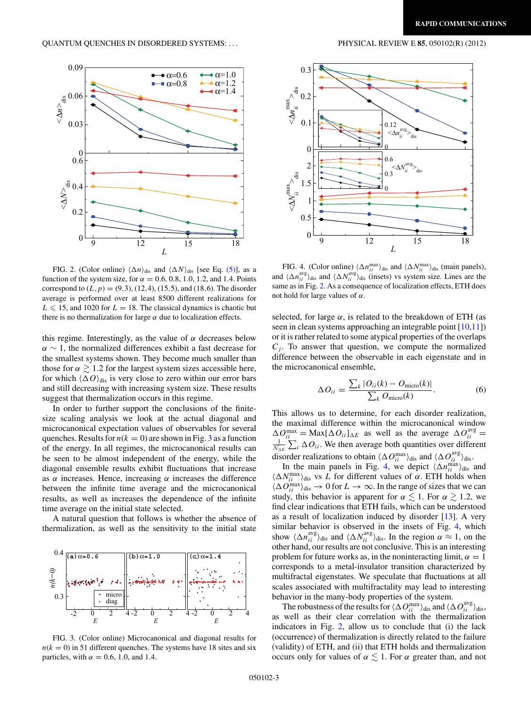<span id="page-2-0"></span>

FIG. 2. (Color online)  $\langle \Delta n \rangle_{\text{dis}}$  and  $\langle \Delta N \rangle_{\text{dis}}$  [see Eq. [\(5\)\]](#page-1-0), as a function of the system size, for  $\alpha = 0.6, 0.8, 1.0, 1.2,$  and 1.4. Points correspond to  $(L, p) = (9, 3)$ ,  $(12, 4)$ ,  $(15, 5)$ , and  $(18, 6)$ . The disorder average is performed over at least 8500 different realizations for  $L \le 15$ , and 1020 for  $L = 18$ . The classical dynamics is chaotic but there is no thermalization for large  $\alpha$  due to localization effects.

this regime. Interestingly, as the value of *α* decreases below  $\alpha \sim 1$ , the normalized differences exhibit a fast decrease for the smallest systems shown. They become much smaller than those for  $\alpha \gtrsim 1.2$  for the largest system sizes accessible here, for which  $\langle \Delta O \rangle_{\text{dis}}$  is very close to zero within our error bars and still decreasing with increasing system size. These results suggest that thermalization occurs in this regime.

In order to further support the conclusions of the finitesize scaling analysis we look at the actual diagonal and microcanonical expectation values of observables for several quenches. Results for  $n(k = 0)$  are shown in Fig. 3 as a function of the energy. In all regimes, the microcanonical results can be seen to be almost independent of the energy, while the diagonal ensemble results exhibit fluctuations that increase as *α* increases. Hence, increasing *α* increases the difference between the infinite time average and the microcanonical results, as well as increases the dependence of the infinite time average on the initial state selected.

A natural question that follows is whether the absence of thermalization, as well as the sensitivity to the initial state



FIG. 3. (Color online) Microcanonical and diagonal results for  $n(k = 0)$  in 51 different quenches. The systems have 18 sites and six particles, with  $\alpha = 0.6$ , 1.0, and 1.4.



FIG. 4. (Color online)  $\langle \Delta n_{ii}^{\text{max}} \rangle_{\text{dis}}$  and  $\langle \Delta N_{ii}^{\text{max}} \rangle_{\text{dis}}$  (main panels), and  $\langle \Delta n_{ii}^{\text{avg}} \rangle_{\text{dis}}$  and  $\langle \Delta N_{ii}^{\text{avg}} \rangle_{\text{dis}}$  (insets) vs system size. Lines are the same as in Fig. 2. As a consequence of localization effects, ETH does not hold for large values of *α*.

selected, for large  $\alpha$ , is related to the breakdown of ETH (as seen in clean systems approaching an integrable point [\[10,11\]](#page-4-0)) or it is rather related to some atypical properties of the overlaps  $C_i$ . To answer that question, we compute the normalized difference between the observable in each eigenstate and in the microcanonical ensemble,

$$
\Delta O_{ii} = \frac{\sum_{k} |O_{ii}(k) - O_{\text{micro}}(k)|}{\sum_{k} O_{\text{micro}}(k)}.
$$
 (6)

This allows us to determine, for each disorder realization, the maximal difference within the microcanonical window  $\Delta O_{ii}^{\text{max}} = \text{Max}[\Delta O_{ii}]_{\Delta E}$  as well as the average  $\Delta O_{ii}^{\text{avg}} =$ disorder realizations to obtain  $\langle \Delta O_{ii}^{\text{max}} \rangle_{\text{dis}}$  and  $\langle \Delta O_{ii}^{\text{avg}} \rangle_{\text{dis}}$ .  $\sum_i \Delta O_{ii}$ . We then average both quantities over different

In the main panels in Fig. 4, we depict  $\langle \Delta n_{ii}^{\text{max}} \rangle_{\text{dis}}$  and  $\langle \Delta N_{ii}^{\text{max}} \rangle_{\text{dis}}$  vs *L* for different values of *α*. ETH holds when  $\langle \Delta O_{ii}^{max} \rangle_{dis} \rightarrow 0$  for  $L \rightarrow \infty$ . In the range of sizes that we can study, this behavior is apparent for  $\alpha \lesssim 1$ . For  $\alpha \gtrsim 1.2$ , we find clear indications that ETH fails, which can be understood as a result of localization induced by disorder [\[13\]](#page-4-0). A very similar behavior is observed in the insets of Fig. 4, which show  $\langle \Delta n_{ii}^{\text{avg}} \rangle_{\text{dis}}$  and  $\langle \Delta N_{ii}^{\text{avg}} \rangle_{\text{dis}}$ . In the region  $\alpha \approx 1$ , on the other hand, our results are not conclusive. This is an interesting problem for future works as, in the noninteracting limit,  $\alpha = 1$ corresponds to a metal-insulator transition characterized by multifractal eigenstates. We speculate that fluctuations at all scales associated with multifractality may lead to interesting behavior in the many-body properties of the system.

The robustness of the results for  $\langle \Delta O_{ii}^{max} \rangle_{\text{dis}}$  and  $\langle \Delta O_{ii}^{avg} \rangle_{\text{dis}}$ , as well as their clear correlation with the thermalization indicators in Fig. 2, allow us to conclude that (i) the lack (occurrence) of thermalization is directly related to the failure (validity) of ETH, and (ii) that ETH holds and thermalization occurs only for values of  $\alpha \lesssim 1$ . For  $\alpha$  greater than, and not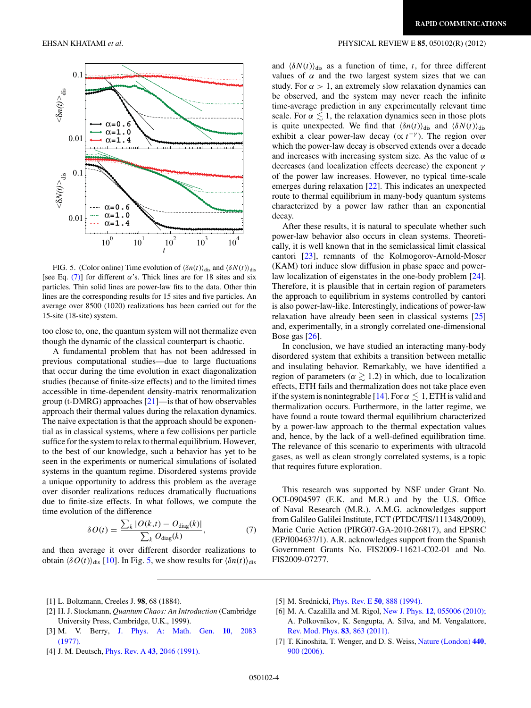

FIG. 5. (Color online) Time evolution of  $\langle \delta n(t) \rangle_{\text{dis}}$  and  $\langle \delta N(t) \rangle_{\text{dis}}$ [see Eq. (7)] for different  $\alpha$ 's. Thick lines are for 18 sites and six particles. Thin solid lines are power-law fits to the data. Other thin lines are the corresponding results for 15 sites and five particles. An average over 8500 (1020) realizations has been carried out for the 15-site (18-site) system.

too close to, one, the quantum system will not thermalize even though the dynamic of the classical counterpart is chaotic.

A fundamental problem that has not been addressed in previous computational studies—due to large fluctuations that occur during the time evolution in exact diagonalization studies (because of finite-size effects) and to the limited times accessible in time-dependent density-matrix renormalization group (t-DMRG) approaches [\[21\]](#page-4-0)—is that of how observables approach their thermal values during the relaxation dynamics. The naive expectation is that the approach should be exponential as in classical systems, where a few collisions per particle suffice for the system to relax to thermal equilibrium. However, to the best of our knowledge, such a behavior has yet to be seen in the experiments or numerical simulations of isolated systems in the quantum regime. Disordered systems provide a unique opportunity to address this problem as the average over disorder realizations reduces dramatically fluctuations due to finite-size effects. In what follows, we compute the time evolution of the difference

$$
\delta O(t) = \frac{\sum_{k} |O(k, t) - O_{\text{diag}}(k)|}{\sum_{k} O_{\text{diag}}(k)},\tag{7}
$$

and then average it over different disorder realizations to obtain  $\langle \delta O(t) \rangle_{\text{dis}}$  [\[10\]](#page-4-0). In Fig. 5, we show results for  $\langle \delta n(t) \rangle_{\text{dis}}$ 

## <span id="page-3-0"></span>EHSAN KHATAMI *et al.* PHYSICAL REVIEW E **85**, 050102(R) (2012)

and  $\langle \delta N(t) \rangle_{\text{dis}}$  as a function of time, *t*, for three different values of  $\alpha$  and the two largest system sizes that we can study. For  $\alpha > 1$ , an extremely slow relaxation dynamics can be observed, and the system may never reach the infinite time-average prediction in any experimentally relevant time scale. For  $\alpha \lesssim 1$ , the relaxation dynamics seen in those plots is quite unexpected. We find that  $\langle \delta n(t) \rangle_{\text{dis}}$  and  $\langle \delta N(t) \rangle_{\text{dis}}$ exhibit a clear power-law decay ( $\propto t^{-\gamma}$ ). The region over which the power-law decay is observed extends over a decade and increases with increasing system size. As the value of *α* decreases (and localization effects decrease) the exponent *γ* of the power law increases. However, no typical time-scale emerges during relaxation [\[22\]](#page-4-0). This indicates an unexpected route to thermal equilibrium in many-body quantum systems characterized by a power law rather than an exponential decay.

After these results, it is natural to speculate whether such power-law behavior also occurs in clean systems. Theoretically, it is well known that in the semiclassical limit classical cantori [\[23\]](#page-4-0), remnants of the Kolmogorov-Arnold-Moser (KAM) tori induce slow diffusion in phase space and powerlaw localization of eigenstates in the one-body problem [\[24\]](#page-4-0). Therefore, it is plausible that in certain region of parameters the approach to equilibrium in systems controlled by cantori is also power-law-like. Interestingly, indications of power-law relaxation have already been seen in classical systems [\[25\]](#page-4-0) and, experimentally, in a strongly correlated one-dimensional Bose gas [\[26\]](#page-4-0).

In conclusion, we have studied an interacting many-body disordered system that exhibits a transition between metallic and insulating behavior. Remarkably, we have identified a region of parameters ( $\alpha \gtrsim 1.2$ ) in which, due to localization effects, ETH fails and thermalization does not take place even if the system is nonintegrable [\[14\]](#page-4-0). For  $\alpha \lesssim 1$ , ETH is valid and thermalization occurs. Furthermore, in the latter regime, we have found a route toward thermal equilibrium characterized by a power-law approach to the thermal expectation values and, hence, by the lack of a well-defined equilibration time. The relevance of this scenario to experiments with ultracold gases, as well as clean strongly correlated systems, is a topic that requires future exploration.

This research was supported by NSF under Grant No. OCI-0904597 (E.K. and M.R.) and by the U.S. Office of Naval Research (M.R.). A.M.G. acknowledges support from Galileo Galilei Institute, FCT (PTDC/FIS/111348/2009), Marie Curie Action (PIRG07-GA-2010-26817), and EPSRC (EP/I004637/1). A.R. acknowledges support from the Spanish Government Grants No. FIS2009-11621-C02-01 and No. FIS2009-07277.

- [1] L. Boltzmann, Creeles J. **98**, 68 (1884).
- [2] H. J. Stockmann, *Quantum Chaos: An Introduction* (Cambridge University Press, Cambridge, U.K., 1999).
- [3] M. V. Berry, [J. Phys. A: Math. Gen.](http://dx.doi.org/10.1088/0305-4470/10/12/016) **10**, 2083 [\(1977\).](http://dx.doi.org/10.1088/0305-4470/10/12/016)
- [4] J. M. Deutsch, Phys. Rev. A **43**[, 2046 \(1991\).](http://dx.doi.org/10.1103/PhysRevA.43.2046)
- [5] M. Srednicki, Phys. Rev. E **50**[, 888 \(1994\).](http://dx.doi.org/10.1103/PhysRevE.50.888)
- [6] M. A. Cazalilla and M. Rigol, New J. Phys. **12**[, 055006 \(2010\);](http://dx.doi.org/10.1088/1367-2630/12/5/055006) A. Polkovnikov, K. Sengupta, A. Silva, and M. Vengalattore, [Rev. Mod. Phys.](http://dx.doi.org/10.1103/RevModPhys.83.863) **83**, 863 (2011).
- [7] T. Kinoshita, T. Wenger, and D. S. Weiss, [Nature \(London\)](http://dx.doi.org/10.1038/nature04693) **440**, [900 \(2006\).](http://dx.doi.org/10.1038/nature04693)